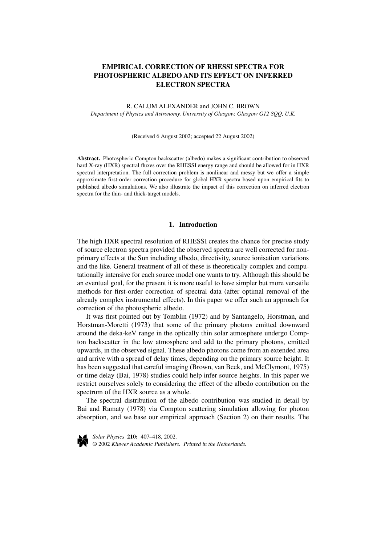# **EMPIRICAL CORRECTION OF RHESSI SPECTRA FOR PHOTOSPHERIC ALBEDO AND ITS EFFECT ON INFERRED ELECTRON SPECTRA**

### R. CALUM ALEXANDER and JOHN C. BROWN *Department of Physics and Astronomy, University of Glasgow, Glasgow G12 8QQ, U.K.*

#### (Received 6 August 2002; accepted 22 August 2002)

**Abstract.** Photospheric Compton backscatter (albedo) makes a significant contribution to observed hard X-ray (HXR) spectral fluxes over the RHESSI energy range and should be allowed for in HXR spectral interpretation. The full correction problem is nonlinear and messy but we offer a simple approximate first-order correction procedure for global HXR spectra based upon empirical fits to published albedo simulations. We also illustrate the impact of this correction on inferred electron spectra for the thin- and thick-target models.

# **1. Introduction**

The high HXR spectral resolution of RHESSI creates the chance for precise study of source electron spectra provided the observed spectra are well corrected for nonprimary effects at the Sun including albedo, directivity, source ionisation variations and the like. General treatment of all of these is theoretically complex and computationally intensive for each source model one wants to try. Although this should be an eventual goal, for the present it is more useful to have simpler but more versatile methods for first-order correction of spectral data (after optimal removal of the already complex instrumental effects). In this paper we offer such an approach for correction of the photospheric albedo.

It was first pointed out by Tomblin (1972) and by Santangelo, Horstman, and Horstman-Moretti (1973) that some of the primary photons emitted downward around the deka-keV range in the optically thin solar atmosphere undergo Compton backscatter in the low atmosphere and add to the primary photons, emitted upwards, in the observed signal. These albedo photons come from an extended area and arrive with a spread of delay times, depending on the primary source height. It has been suggested that careful imaging (Brown, van Beek, and McClymont, 1975) or time delay (Bai, 1978) studies could help infer source heights. In this paper we restrict ourselves solely to considering the effect of the albedo contribution on the spectrum of the HXR source as a whole.

The spectral distribution of the albedo contribution was studied in detail by Bai and Ramaty (1978) via Compton scattering simulation allowing for photon absorption, and we base our empirical approach (Section 2) on their results. The



*Solar Physics* **210:** 407–418, 2002. © 2002 *Kluwer Academic Publishers. Printed in the Netherlands.*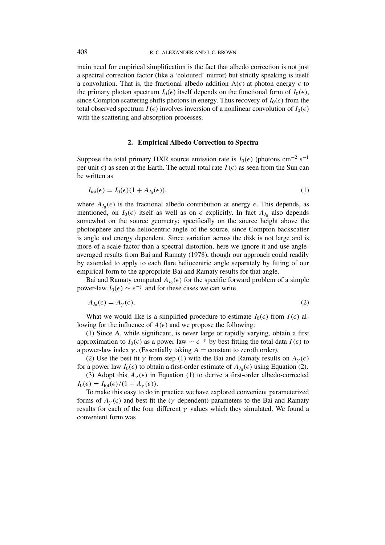main need for empirical simplification is the fact that albedo correction is not just a spectral correction factor (like a 'coloured' mirror) but strictly speaking is itself a convolution. That is, the fractional albedo addition  $A(\epsilon)$  at photon energy  $\epsilon$  to the primary photon spectrum  $I_0(\epsilon)$  itself depends on the functional form of  $I_0(\epsilon)$ , since Compton scattering shifts photons in energy. Thus recovery of  $I_0(\epsilon)$  from the total observed spectrum  $I(\epsilon)$  involves inversion of a nonlinear convolution of  $I_0(\epsilon)$ with the scattering and absorption processes.

# **2. Empirical Albedo Correction to Spectra**

Suppose the total primary HXR source emission rate is  $I_0(\epsilon)$  (photons cm<sup>-2</sup> s<sup>-1</sup>) per unit  $\epsilon$ ) as seen at the Earth. The actual total rate  $I(\epsilon)$  as seen from the Sun can be written as

$$
I_{\text{tot}}(\epsilon) = I_0(\epsilon)(1 + A_{I_0}(\epsilon)),\tag{1}
$$

where  $A_{I_0}(\epsilon)$  is the fractional albedo contribution at energy  $\epsilon$ . This depends, as mentioned, on  $I_0(\epsilon)$  itself as well as on  $\epsilon$  explicitly. In fact  $A_{I_0}$  also depends somewhat on the source geometry; specifically on the source height above the photosphere and the heliocentric-angle of the source, since Compton backscatter is angle and energy dependent. Since variation across the disk is not large and is more of a scale factor than a spectral distortion, here we ignore it and use angleaveraged results from Bai and Ramaty (1978), though our approach could readily by extended to apply to each flare heliocentric angle separately by fitting of our empirical form to the appropriate Bai and Ramaty results for that angle.

Bai and Ramaty computed  $A_{I_0}(\epsilon)$  for the specific forward problem of a simple power-law  $I_0(\epsilon) \sim \epsilon^{-\gamma}$  and for these cases we can write

$$
A_{I_0}(\epsilon) = A_{\gamma}(\epsilon). \tag{2}
$$

What we would like is a simplified procedure to estimate  $I_0(\epsilon)$  from  $I(\epsilon)$  allowing for the influence of  $A(\epsilon)$  and we propose the following:

(1) Since A, while significant, is never large or rapidly varying, obtain a first approximation to  $I_0(\epsilon)$  as a power law  $\sim \epsilon^{-\gamma}$  by best fitting the total data  $I(\epsilon)$  to a power-law index  $\gamma$ . (Essentially taking  $A = constant$  to zeroth order).

(2) Use the best fit  $\gamma$  from step (1) with the Bai and Ramaty results on  $A_{\gamma}(\epsilon)$ for a power law  $I_0(\epsilon)$  to obtain a first-order estimate of  $A_{I_0}(\epsilon)$  using Equation (2).

(3) Adopt this  $A_{\gamma}(\epsilon)$  in Equation (1) to derive a first-order albedo-corrected  $I_0(\epsilon) = I_{\text{tot}}(\epsilon)/(1 + A_\nu(\epsilon)).$ 

To make this easy to do in practice we have explored convenient parameterized forms of  $A_{\nu}(\epsilon)$  and best fit the ( $\gamma$  dependent) parameters to the Bai and Ramaty results for each of the four different *γ* values which they simulated. We found a convenient form was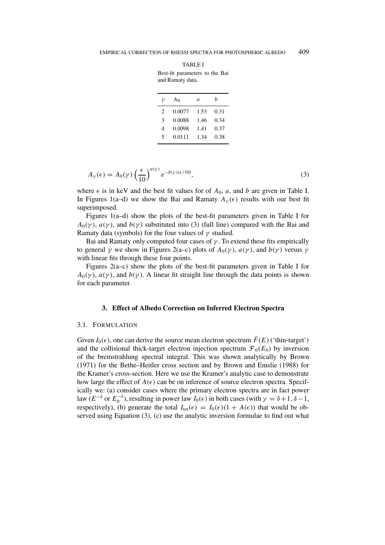Best-fit parameters to the Bai and Ramaty data.

| ν              | A <sub>0</sub> | a    | h    |
|----------------|----------------|------|------|
| $\mathfrak{D}$ | 0.0077         | 1.53 | 0.31 |
| 3              | 0.0088         | 1.46 | 0.34 |
| 4              | 0.0098         | 1.41 | 0.37 |
| 5              | 0.0111         | 1.34 | 0.38 |
|                |                |      |      |

$$
A_{\gamma}(\epsilon) = A_0(\gamma) \left(\frac{\epsilon}{10}\right)^{a(\gamma)} e^{-b(\gamma)(\epsilon/10)},\tag{3}
$$

where  $\epsilon$  is in keV and the best fit values for of  $A_0$ , *a*, and *b* are given in Table I. In Figures 1(a–d) we show the Bai and Ramaty  $A_{\gamma}(\epsilon)$  results with our best fit superimposed.

Figures 1(a–d) show the plots of the best-fit parameters given in Table I for  $A_0(\gamma)$ ,  $a(\gamma)$ , and  $b(\gamma)$  substituted into (3) (full line) compared with the Bai and Ramaty data (symbols) for the four values of *γ* studied.

Bai and Ramaty only computed four cases of *γ* . To extend these fits empirically to general *γ* we show in Figures 2(a–c) plots of  $A_0(\gamma)$ ,  $a(\gamma)$ , and  $b(\gamma)$  versus *γ* with linear fits through these four points.

Figures 2(a–c) show the plots of the best-fit parameters given in Table I for  $A_0(\gamma)$ ,  $a(\gamma)$ , and  $b(\gamma)$ . A linear fit straight line through the data points is shown for each parameter.

# **3. Effect of Albedo Correction on Inferred Electron Spectra**

#### 3.1. FORMULATION

Given  $I_0(\epsilon)$ , one can derive the source mean electron spectrum  $\bar{F}(E)$  ('thin-target') and the collisional thick-target electron injection spectrum  $\mathcal{F}_0(E_0)$  by inversion of the bremstrahlung spectral integral. This was shown analytically by Brown (1971) for the Bethe–Heitler cross section and by Brown and Emslie (1988) for the Kramer's cross-section. Here we use the Kramer's analytic case to demonstrate how large the effect of  $A(\epsilon)$  can be on inference of source electron spectra. Specifically we: (a) consider cases where the primary electron spectra are in fact power law  $(E^{-\delta}$  or  $E_0^{-\delta}$ ), resulting in power law *I*<sub>0</sub>( $\epsilon$ ) in both cases (with  $\gamma = \delta + 1$ ,  $\delta - 1$ , respectively), (b) generate the total  $I_{tot}(\epsilon) = I_0(\epsilon)(1 + A(\epsilon))$  that would be observed using Equation (3), (c) use the analytic inversion formulae to find out what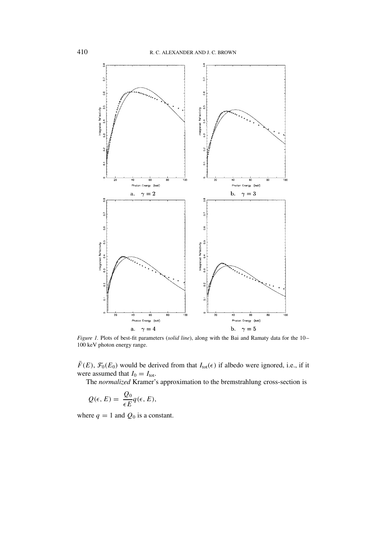

*Figure 1.* Plots of best-fit parameters (*solid line*), along with the Bai and Ramaty data for the 10– 100 keV photon energy range.

 $\bar{F}(E)$ ,  $\mathcal{F}_0(E_0)$  would be derived from that  $I_{tot}(\epsilon)$  if albedo were ignored, i.e., if it were assumed that  $I_0 = I_{\text{tot}}$ .

The *normalized* Kramer's approximation to the bremstrahlung cross-section is

$$
Q(\epsilon, E) = \frac{Q_0}{\epsilon E} q(\epsilon, E),
$$

where  $q = 1$  and  $Q_0$  is a constant.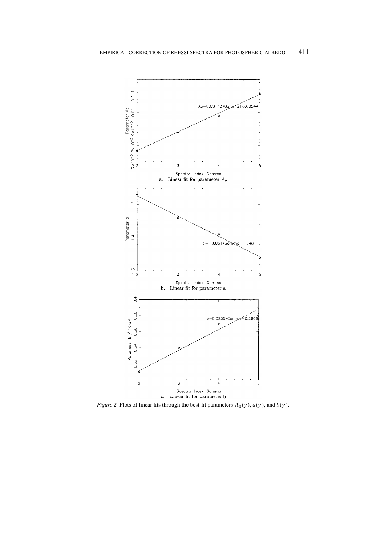

*Figure 2.* Plots of linear fits through the best-fit parameters  $A_0(\gamma)$ ,  $a(\gamma)$ , and  $b(\gamma)$ .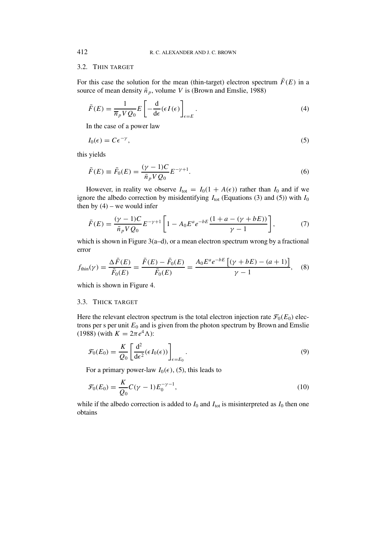#### 3.2. THIN TARGET

For this case the solution for the mean (thin-target) electron spectrum  $\bar{F}(E)$  in a source of mean density  $\bar{n}_p$ , volume *V* is (Brown and Emslie, 1988)

$$
\bar{F}(E) = \frac{1}{\overline{n}_p V Q_0} E \left[ -\frac{d}{d\epsilon} (\epsilon I(\epsilon) \right]_{\epsilon = E} . \tag{4}
$$

In the case of a power law

$$
I_0(\epsilon) = C\epsilon^{-\gamma},\tag{5}
$$

this yields

$$
\bar{F}(E) \equiv \bar{F}_0(E) = \frac{(\gamma - 1)C}{\bar{n}_p V Q_0} E^{-\gamma + 1}.
$$
\n(6)

However, in reality we observe  $I_{\text{tot}} = I_0(1 + A(\epsilon))$  rather than  $I_0$  and if we ignore the albedo correction by misidentifying  $I_{\text{tot}}$  (Equations (3) and (5)) with  $I_0$ then by  $(4)$  – we would infer

$$
\bar{F}(E) = \frac{(\gamma - 1)C}{\bar{n}_p V Q_0} E^{-\gamma + 1} \left[ 1 - A_0 E^a e^{-bE} \frac{(1 + a - (\gamma + bE))}{\gamma - 1} \right],\tag{7}
$$

which is shown in Figure  $3(a-d)$ , or a mean electron spectrum wrong by a fractional error

$$
f_{\text{thin}}(\gamma) = \frac{\Delta \bar{F}(E)}{\bar{F}_0(E)} = \frac{\bar{F}(E) - \bar{F}_0(E)}{\bar{F}_0(E)} = \frac{A_0 E^a e^{-bE} \left[ (\gamma + bE) - (a+1) \right]}{\gamma - 1}, \quad (8)
$$

which is shown in Figure 4.

# 3.3. THICK TARGET

Here the relevant electron spectrum is the total electron injection rate  $\mathcal{F}_0(E_0)$  electrons per s per unit  $E_0$  and is given from the photon spectrum by Brown and Emslie (1988) (with  $K = 2\pi e^4 \Lambda$ ):

$$
\mathcal{F}_0(E_0) = \frac{K}{Q_0} \left[ \frac{\mathrm{d}^2}{\mathrm{d}\epsilon^2} (\epsilon I_0(\epsilon)) \right]_{\epsilon = E_0} . \tag{9}
$$

For a primary power-law  $I_0(\epsilon)$ , (5), this leads to

$$
\mathcal{F}_0(E_0) = \frac{K}{Q_0} C(\gamma - 1) E_0^{-\gamma - 1},\tag{10}
$$

while if the albedo correction is added to  $I_0$  and  $I_{\text{tot}}$  is misinterpreted as  $I_0$  then one obtains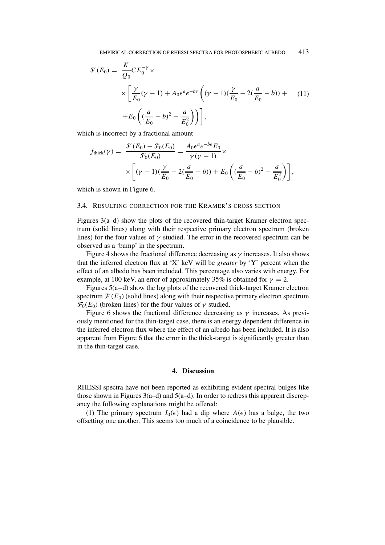$$
\mathcal{F}(E_0) = \frac{K}{Q_0} C E_0^{-\gamma} \times \left[ \frac{\gamma}{E_0} (\gamma - 1) + A_0 \epsilon^a e^{-b\epsilon} \left( (\gamma - 1) (\frac{\gamma}{E_0} - 2(\frac{a}{E_0} - b)) + \right) + E_0 \left( (\frac{a}{E_0} - b)^2 - \frac{a}{E_0^2} \right) \right],
$$
\n(11)

which is incorrect by a fractional amount

$$
f_{\text{thick}}(\gamma) = \frac{\mathcal{F}(E_0) - \mathcal{F}_0(E_0)}{\mathcal{F}_0(E_0)} = \frac{A_0 \epsilon^a e^{-b \epsilon} E_0}{\gamma (\gamma - 1)} \times \left[ (\gamma - 1) (\frac{\gamma}{E_0} - 2(\frac{a}{E_0} - b)) + E_0 \left( (\frac{a}{E_0} - b)^2 - \frac{a}{E_0^2} \right) \right],
$$

which is shown in Figure 6.

## 3.4. RESULTING CORRECTION FOR THE KRAMER'S CROSS SECTION

Figures 3(a–d) show the plots of the recovered thin-target Kramer electron spectrum (solid lines) along with their respective primary electron spectrum (broken lines) for the four values of  $\gamma$  studied. The error in the recovered spectrum can be observed as a 'bump' in the spectrum.

Figure 4 shows the fractional difference decreasing as  $\gamma$  increases. It also shows that the inferred electron flux at 'X' keV will be *greater* by 'Y' percent when the effect of an albedo has been included. This percentage also varies with energy. For example, at 100 keV, an error of approximately 35% is obtained for  $\gamma = 2$ .

Figures 5(a–d) show the log plots of the recovered thick-target Kramer electron spectrum  $\mathcal{F}(E_0)$  (solid lines) along with their respective primary electron spectrum  $\mathcal{F}_0(E_0)$  (broken lines) for the four values of  $\gamma$  studied.

Figure 6 shows the fractional difference decreasing as  $\gamma$  increases. As previously mentioned for the thin-target case, there is an energy dependent difference in the inferred electron flux where the effect of an albedo has been included. It is also apparent from Figure 6 that the error in the thick-target is significantly greater than in the thin-target case.

### **4. Discussion**

RHESSI spectra have not been reported as exhibiting evident spectral bulges like those shown in Figures 3(a–d) and  $5(a-d)$ . In order to redress this apparent discrepancy the following explanations might be offered:

(1) The primary spectrum  $I_0(\epsilon)$  had a dip where  $A(\epsilon)$  has a bulge, the two offsetting one another. This seems too much of a coincidence to be plausible.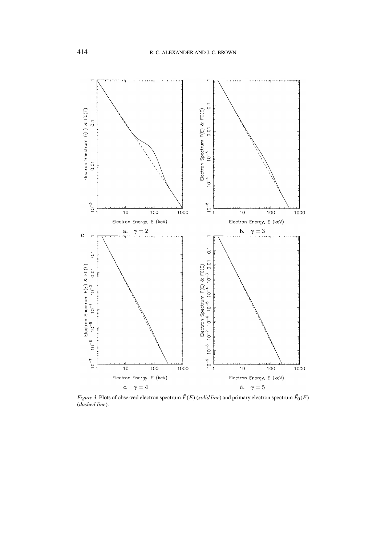

*Figure 3.* Plots of observed electron spectrum  $F(E)$  (*solid line*) and primary electron spectrum  $F_0(E)$ (*dashed line*).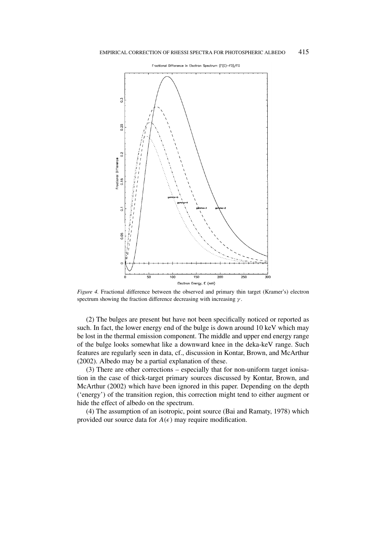

*Figure 4.* Fractional difference between the observed and primary thin target (Kramer's) electron spectrum showing the fraction difference decreasing with increasing *γ* .

(2) The bulges are present but have not been specifically noticed or reported as such. In fact, the lower energy end of the bulge is down around 10 keV which may be lost in the thermal emission component. The middle and upper end energy range of the bulge looks somewhat like a downward knee in the deka-keV range. Such features are regularly seen in data, cf., discussion in Kontar, Brown, and McArthur (2002). Albedo may be a partial explanation of these.

(3) There are other corrections – especially that for non-uniform target ionisation in the case of thick-target primary sources discussed by Kontar, Brown, and McArthur (2002) which have been ignored in this paper. Depending on the depth ('energy') of the transition region, this correction might tend to either augment or hide the effect of albedo on the spectrum.

(4) The assumption of an isotropic, point source (Bai and Ramaty, 1978) which provided our source data for  $A(\epsilon)$  may require modification.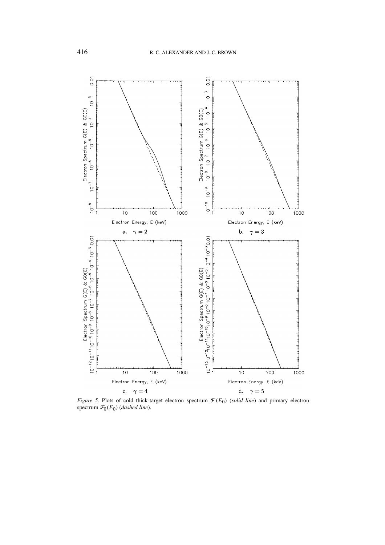

*Figure 5.* Plots of cold thick-target electron spectrum  $\mathcal{F}(E_0)$  (*solid line*) and primary electron spectrum  $\mathcal{F}_0(E_0)$  (*dashed line*).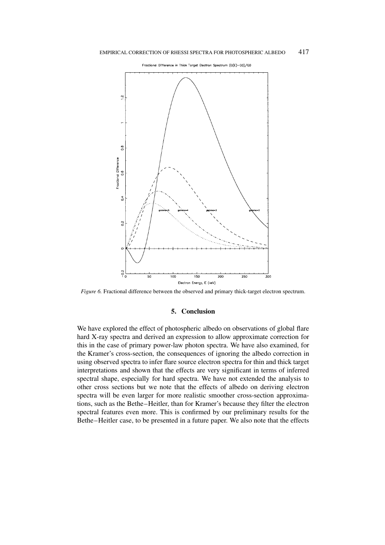

*Figure 6.* Fractional difference between the observed and primary thick-target electron spectrum.

## **5. Conclusion**

We have explored the effect of photospheric albedo on observations of global flare hard X-ray spectra and derived an expression to allow approximate correction for this in the case of primary power-law photon spectra. We have also examined, for the Kramer's cross-section, the consequences of ignoring the albedo correction in using observed spectra to infer flare source electron spectra for thin and thick target interpretations and shown that the effects are very significant in terms of inferred spectral shape, especially for hard spectra. We have not extended the analysis to other cross sections but we note that the effects of albedo on deriving electron spectra will be even larger for more realistic smoother cross-section approximations, such as the Bethe–Heitler, than for Kramer's because they filter the electron spectral features even more. This is confirmed by our preliminary results for the Bethe–Heitler case, to be presented in a future paper. We also note that the effects